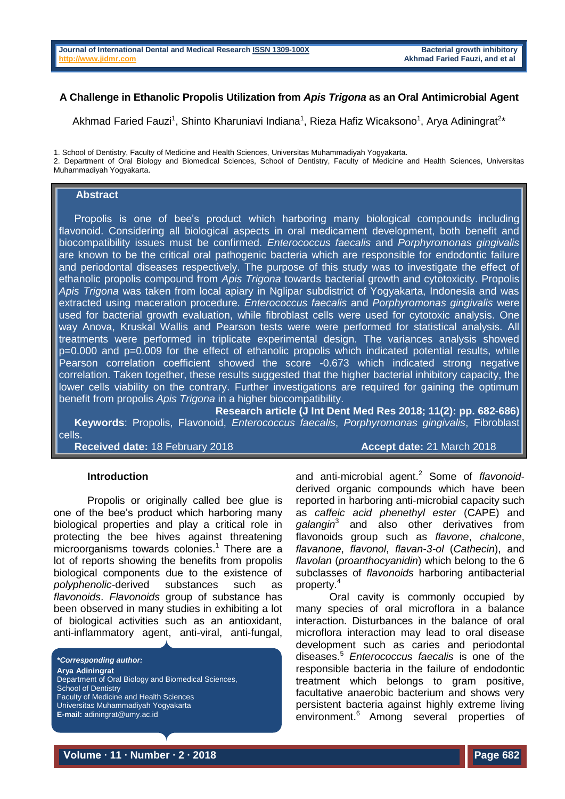# **A Challenge in Ethanolic Propolis Utilization from** *Apis Trigona* **as an Oral Antimicrobial Agent**

Akhmad Faried Fauzi<sup>1</sup>, Shinto Kharuniavi Indiana<sup>1</sup>, Rieza Hafiz Wicaksono<sup>1</sup>, Arya Adiningrat<sup>2\*</sup>

1. School of Dentistry, Faculty of Medicine and Health Sciences, Universitas Muhammadiyah Yogyakarta.

2. Department of Oral Biology and Biomedical Sciences, School of Dentistry, Faculty of Medicine and Health Sciences, Universitas Muhammadiyah Yogyakarta.

### **Abstract**

Propolis is one of bee's product which harboring many biological compounds including flavonoid. Considering all biological aspects in oral medicament development, both benefit and biocompatibility issues must be confirmed. *Enterococcus faecalis* and *Porphyromonas gingivalis* are known to be the critical oral pathogenic bacteria which are responsible for endodontic failure and periodontal diseases respectively. The purpose of this study was to investigate the effect of ethanolic propolis compound from *Apis Trigona* towards bacterial growth and cytotoxicity. Propolis *Apis Trigona* was taken from local apiary in Nglipar subdistrict of Yogyakarta, Indonesia and was extracted using maceration procedure. *Enterococcus faecalis* and *Porphyromonas gingivalis* were used for bacterial growth evaluation, while fibroblast cells were used for cytotoxic analysis. One way Anova, Kruskal Wallis and Pearson tests were were performed for statistical analysis. All treatments were performed in triplicate experimental design. The variances analysis showed p=0.000 and p=0.009 for the effect of ethanolic propolis which indicated potential results, while Pearson correlation coefficient showed the score -0.673 which indicated strong negative correlation. Taken together, these results suggested that the higher bacterial inhibitory capacity, the lower cells viability on the contrary. Further investigations are required for gaining the optimum benefit from propolis *Apis Trigona* in a higher biocompatibility.

**Research article (J Int Dent Med Res 2018; 11(2): pp. 682-686) Keywords**: Propolis, Flavonoid, *Enterococcus faecalis*, *Porphyromonas gingivalis*, Fibroblast cells.

**Received date:** 18 February 2018 **Accept date:** 21 March 2018

#### **Introduction**

Propolis or originally called bee glue is one of the bee's product which harboring many biological properties and play a critical role in protecting the bee hives against threatening microorganisms towards colonies. <sup>1</sup> There are a lot of reports showing the benefits from propolis biological components due to the existence of *polyphenolic*-derived substances such as *flavonoids*. *Flavonoids* group of substance has been observed in many studies in exhibiting a lot of biological activities such as an antioxidant, anti-inflammatory agent, anti-viral, anti-fungal,

*\*Corresponding author:* **Arya Adiningrat** Department of Oral Biology and Biomedical Sciences, School of Dentistry Faculty of Medicine and Health Sciences Universitas Muhammadiyah Yogyakarta **E-mail:** adiningrat@umy.ac.id

and anti-microbial agent. <sup>2</sup> Some of *flavonoid*derived organic compounds which have been reported in harboring anti-microbial capacity such as *caffeic acid phenethyl ester* (CAPE) and *galangin*<sup>3</sup> and also other derivatives from flavonoids group such as *flavone*, *chalcone*, *flavanone*, *flavonol*, *flavan-3-ol* (*Cathecin*), and *flavolan* (*proanthocyanidin*) which belong to the 6 subclasses of *flavonoids* harboring antibacterial property. 4

Oral cavity is commonly occupied by many species of oral microflora in a balance interaction. Disturbances in the balance of oral microflora interaction may lead to oral disease development such as caries and periodontal diseases. <sup>5</sup> *Enterococcus faecalis* is one of the responsible bacteria in the failure of endodontic treatment which belongs to gram positive, facultative anaerobic bacterium and shows very persistent bacteria against highly extreme living environment. <sup>6</sup> Among several properties of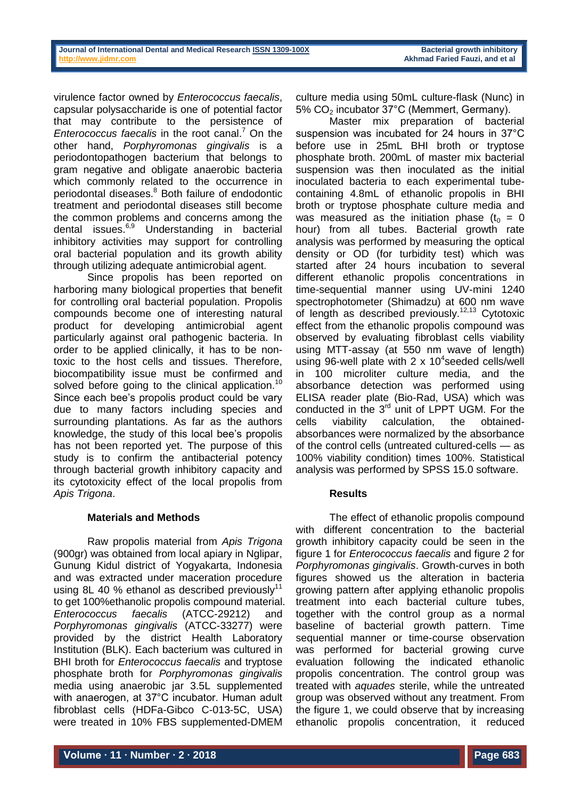virulence factor owned by *Enterococcus faecalis*, capsular polysaccharide is one of potential factor that may contribute to the persistence of *Enterococcus faecalis* in the root canal. <sup>7</sup> On the other hand, *Porphyromonas gingivalis* is a periodontopathogen bacterium that belongs to gram negative and obligate anaerobic bacteria which commonly related to the occurrence in periodontal diseases. <sup>8</sup> Both failure of endodontic treatment and periodontal diseases still become the common problems and concerns among the dental issues. 6,9 Understanding in bacterial inhibitory activities may support for controlling oral bacterial population and its growth ability through utilizing adequate antimicrobial agent.

Since propolis has been reported on harboring many biological properties that benefit for controlling oral bacterial population. Propolis compounds become one of interesting natural product for developing antimicrobial agent particularly against oral pathogenic bacteria. In order to be applied clinically, it has to be nontoxic to the host cells and tissues. Therefore, biocompatibility issue must be confirmed and solved before going to the clinical application.<sup>10</sup> Since each bee's propolis product could be vary due to many factors including species and surrounding plantations. As far as the authors knowledge, the study of this local bee's propolis has not been reported yet. The purpose of this study is to confirm the antibacterial potency through bacterial growth inhibitory capacity and its cytotoxicity effect of the local propolis from *Apis Trigona*.

# **Materials and Methods**

Raw propolis material from *Apis Trigona*  (900gr) was obtained from local apiary in Nglipar, Gunung Kidul district of Yogyakarta, Indonesia and was extracted under maceration procedure using 8L 40 % ethanol as described previously<sup>11</sup> to get 100%ethanolic propolis compound material. *Enterococcus faecalis* (ATCC-29212) and *Porphyromonas gingivalis* (ATCC-33277) were provided by the district Health Laboratory Institution (BLK). Each bacterium was cultured in BHI broth for *Enterococcus faecalis* and tryptose phosphate broth for *Porphyromonas gingivalis* media using anaerobic jar 3.5L supplemented with anaerogen, at 37°C incubator. Human adult fibroblast cells (HDFa-Gibco C-013-5C, USA) were treated in 10% FBS supplemented-DMEM

culture media using 50mL culture-flask (Nunc) in 5% CO<sub>2</sub> incubator 37°C (Memmert, Germany).

Master mix preparation of bacterial suspension was incubated for 24 hours in 37°C before use in 25mL BHI broth or tryptose phosphate broth. 200mL of master mix bacterial suspension was then inoculated as the initial inoculated bacteria to each experimental tubecontaining 4.8mL of ethanolic propolis in BHI broth or tryptose phosphate culture media and was measured as the initiation phase  $(t_0 = 0)$ hour) from all tubes. Bacterial growth rate analysis was performed by measuring the optical density or OD (for turbidity test) which was started after 24 hours incubation to several different ethanolic propolis concentrations in time-sequential manner using UV-mini 1240 spectrophotometer (Shimadzu) at 600 nm wave of length as described previously.<sup>12,13</sup> Cytotoxic effect from the ethanolic propolis compound was observed by evaluating fibroblast cells viability using MTT-assay (at 550 nm wave of length) using 96-well plate with  $2 \times 10^4$ seeded cells/well in 100 microliter culture media, and the absorbance detection was performed using ELISA reader plate (Bio-Rad, USA) which was conducted in the 3<sup>rd</sup> unit of LPPT UGM. For the cells viability calculation, the obtainedabsorbances were normalized by the absorbance of the control cells (untreated cultured-cells — as 100% viability condition) times 100%. Statistical analysis was performed by SPSS 15.0 software.

# **Results**

The effect of ethanolic propolis compound with different concentration to the bacterial growth inhibitory capacity could be seen in the figure 1 for *Enterococcus faecalis* and figure 2 for *Porphyromonas gingivalis*. Growth-curves in both figures showed us the alteration in bacteria growing pattern after applying ethanolic propolis treatment into each bacterial culture tubes, together with the control group as a normal baseline of bacterial growth pattern. Time sequential manner or time-course observation was performed for bacterial growing curve evaluation following the indicated ethanolic propolis concentration. The control group was treated with *aquades* sterile, while the untreated group was observed without any treatment. From the figure 1, we could observe that by increasing ethanolic propolis concentration, it reduced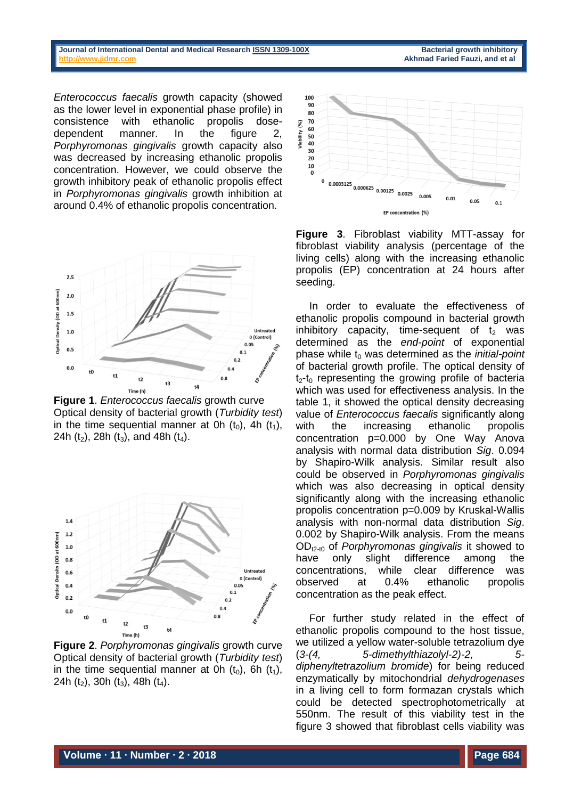#### **Journal of International Dental and Medical Researc[h ISSN 1309-100X](http://www.ektodermaldisplazi.com/dergi.htm) Bacterial growth inhibitory [http://www.jidmr.com](http://www.jidmr.com/) Akhmad Faried Fauzi, and et al**

*Enterococcus faecalis* growth capacity (showed as the lower level in exponential phase profile) in consistence with ethanolic propolis dosedependent manner. In the figure 2, *Porphyromonas gingivalis* growth capacity also was decreased by increasing ethanolic propolis concentration. However, we could observe the growth inhibitory peak of ethanolic propolis effect in *Porphyromonas gingivalis* growth inhibition at around 0.4% of ethanolic propolis concentration.



**Figure 1**. *Enterococcus faecalis* growth curve Optical density of bacterial growth (*Turbidity test*) in the time sequential manner at 0h  $(t_0)$ , 4h  $(t_1)$ , 24h ( $t_2$ ), 28h ( $t_3$ ), and 48h ( $t_4$ ).



**Figure 2**. *Porphyromonas gingivalis* growth curve Optical density of bacterial growth (*Turbidity test*) in the time sequential manner at 0h  $(t_0)$ , 6h  $(t_1)$ , 24h (t<sub>2</sub>), 30h (t<sub>3</sub>), 48h (t<sub>4</sub>).



**Figure 3**. Fibroblast viability MTT-assay for fibroblast viability analysis (percentage of the living cells) along with the increasing ethanolic propolis (EP) concentration at 24 hours after seeding.

In order to evaluate the effectiveness of ethanolic propolis compound in bacterial growth inhibitory capacity, time-sequent of  $t_2$  was determined as the *end-point* of exponential phase while t<sub>0</sub> was determined as the *initial-point* of bacterial growth profile. The optical density of  $t_2-t_0$  representing the growing profile of bacteria which was used for effectiveness analysis. In the table 1, it showed the optical density decreasing value of *Enterococcus faecalis* significantly along with the increasing ethanolic propolis concentration p=0.000 by One Way Anova analysis with normal data distribution *Sig*. 0.094 by Shapiro-Wilk analysis. Similar result also could be observed in *Porphyromonas gingivalis* which was also decreasing in optical density significantly along with the increasing ethanolic propolis concentration p=0.009 by Kruskal-Wallis analysis with non-normal data distribution *Sig*. 0.002 by Shapiro-Wilk analysis. From the means ODt2-t0 of *Porphyromonas gingivalis* it showed to have only slight difference among the concentrations, while clear difference was observed at 0.4% ethanolic propolis concentration as the peak effect.

For further study related in the effect of ethanolic propolis compound to the host tissue, we utilized a yellow water-soluble tetrazolium dye (*3-(4, 5-dimethylthiazolyl-2)-2, 5 diphenyltetrazolium bromide*) for being reduced enzymatically by mitochondrial *dehydrogenases* in a living cell to form formazan crystals which could be detected spectrophotometrically at 550nm. The result of this viability test in the figure 3 showed that fibroblast cells viability was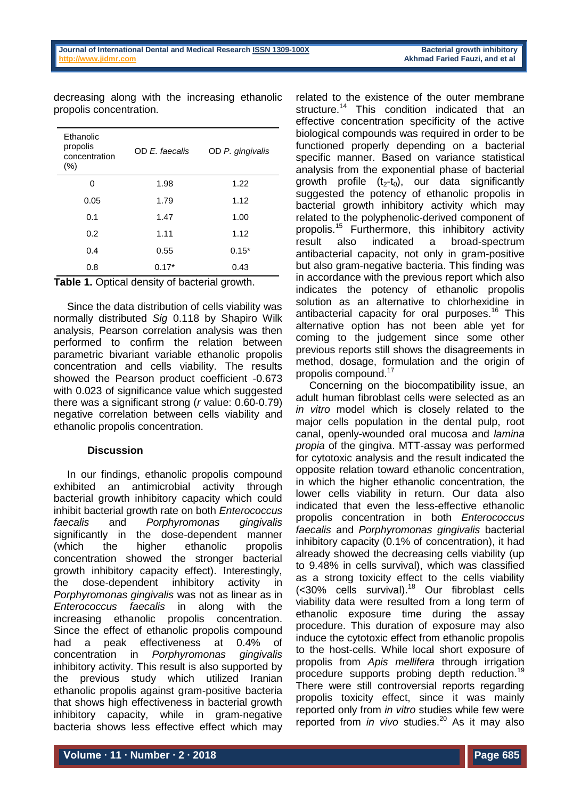| <b>Ethanolic</b><br>propolis<br>concentration<br>$(\% )$ | OD E. faecalis | OD P. gingivalis |
|----------------------------------------------------------|----------------|------------------|
| Ω                                                        | 1.98           | 1.22             |
| 0.05                                                     | 1.79           | 1.12             |
| 0.1                                                      | 1.47           | 1.00             |
| 0.2                                                      | 1.11           | 1.12             |
| 0.4                                                      | 0.55           | $0.15*$          |
| 0.8                                                      | $0.17*$        | 0.43             |

decreasing along with the increasing ethanolic propolis concentration.

**Table 1.** Optical density of bacterial growth.

Since the data distribution of cells viability was normally distributed *Sig* 0.118 by Shapiro Wilk analysis, Pearson correlation analysis was then performed to confirm the relation between parametric bivariant variable ethanolic propolis concentration and cells viability. The results showed the Pearson product coefficient -0.673 with 0.023 of significance value which suggested there was a significant strong (*r* value: 0.60-0.79) negative correlation between cells viability and ethanolic propolis concentration.

# **Discussion**

In our findings, ethanolic propolis compound exhibited an antimicrobial activity through bacterial growth inhibitory capacity which could inhibit bacterial growth rate on both *Enterococcus faecalis* and *Porphyromonas gingivalis* significantly in the dose-dependent manner (which the higher ethanolic propolis concentration showed the stronger bacterial growth inhibitory capacity effect). Interestingly, the dose-dependent inhibitory activity in *Porphyromonas gingivalis* was not as linear as in *Enterococcus faecalis* in along with the increasing ethanolic propolis concentration. Since the effect of ethanolic propolis compound had a peak effectiveness at 0.4% of concentration in *Porphyromonas gingivalis* inhibitory activity. This result is also supported by the previous study which utilized Iranian ethanolic propolis against gram-positive bacteria that shows high effectiveness in bacterial growth inhibitory capacity, while in gram-negative bacteria shows less effective effect which may

related to the existence of the outer membrane structure.<sup>14</sup> This condition indicated that an effective concentration specificity of the active biological compounds was required in order to be functioned properly depending on a bacterial specific manner. Based on variance statistical analysis from the exponential phase of bacterial growth profile  $(t_2-t_0)$ , our data significantly suggested the potency of ethanolic propolis in bacterial growth inhibitory activity which may related to the polyphenolic-derived component of propolis. <sup>15</sup> Furthermore, this inhibitory activity result also indicated a broad-spectrum antibacterial capacity, not only in gram-positive but also gram-negative bacteria. This finding was in accordance with the previous report which also indicates the potency of ethanolic propolis solution as an alternative to chlorhexidine in antibacterial capacity for oral purposes. <sup>16</sup> This alternative option has not been able yet for coming to the judgement since some other previous reports still shows the disagreements in method, dosage, formulation and the origin of propolis compound. 17

Concerning on the biocompatibility issue, an adult human fibroblast cells were selected as an *in vitro* model which is closely related to the major cells population in the dental pulp, root canal, openly-wounded oral mucosa and *lamina propia* of the gingiva. MTT-assay was performed for cytotoxic analysis and the result indicated the opposite relation toward ethanolic concentration, in which the higher ethanolic concentration, the lower cells viability in return. Our data also indicated that even the less-effective ethanolic propolis concentration in both *Enterococcus faecalis* and *Porphyromonas gingivalis* bacterial inhibitory capacity (0.1% of concentration), it had already showed the decreasing cells viability (up to 9.48% in cells survival), which was classified as a strong toxicity effect to the cells viability (<30% cells survival). <sup>18</sup> Our fibroblast cells viability data were resulted from a long term of ethanolic exposure time during the assay procedure. This duration of exposure may also induce the cytotoxic effect from ethanolic propolis to the host-cells. While local short exposure of propolis from *Apis mellifera* through irrigation procedure supports probing depth reduction.<sup>19</sup> There were still controversial reports regarding propolis toxicity effect, since it was mainly reported only from *in vitro* studies while few were reported from *in vivo* studies. <sup>20</sup> As it may also